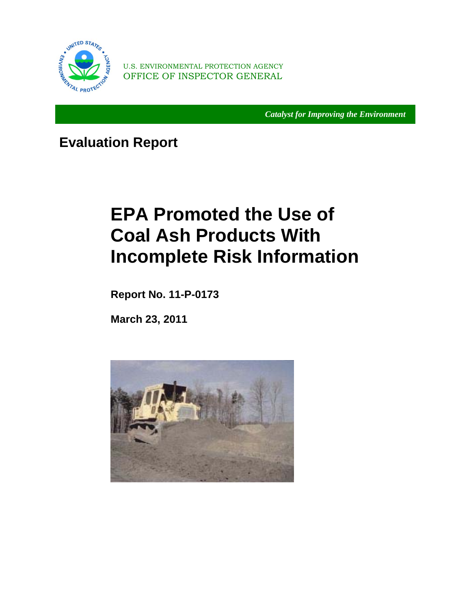

U.S. ENVIRONMENTAL PROTECTION AGENCY OFFICE OF INSPECTOR GENERAL

*Catalyst for Improving the Environment* 

### **Evaluation Report**

## **EPA Promoted the Use of Coal Ash Products With Incomplete Risk Information**

**Report No. 11-P-0173** 

**March 23, 2011** 

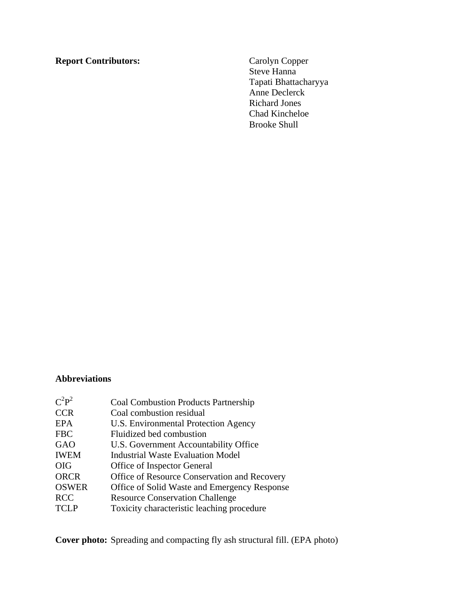#### **Report Contributors:** Carolyn Copper

**Steve Hanna**  Richard Jones Chad Kincheloe Tapati Bhattacharyya Anne Declerck Brooke Shull

#### **Abbreviations**

| $C^2P^2$     | <b>Coal Combustion Products Partnership</b>  |
|--------------|----------------------------------------------|
| <b>CCR</b>   | Coal combustion residual                     |
| <b>EPA</b>   | U.S. Environmental Protection Agency         |
| <b>FBC</b>   | Fluidized bed combustion                     |
| GAO          | U.S. Government Accountability Office        |
| <b>IWEM</b>  | <b>Industrial Waste Evaluation Model</b>     |
| <b>OIG</b>   | Office of Inspector General                  |
| <b>ORCR</b>  | Office of Resource Conservation and Recovery |
| <b>OSWER</b> | Office of Solid Waste and Emergency Response |
| <b>RCC</b>   | <b>Resource Conservation Challenge</b>       |
| <b>TCLP</b>  | Toxicity characteristic leaching procedure   |

**Cover photo:** Spreading and compacting fly ash structural fill. (EPA photo)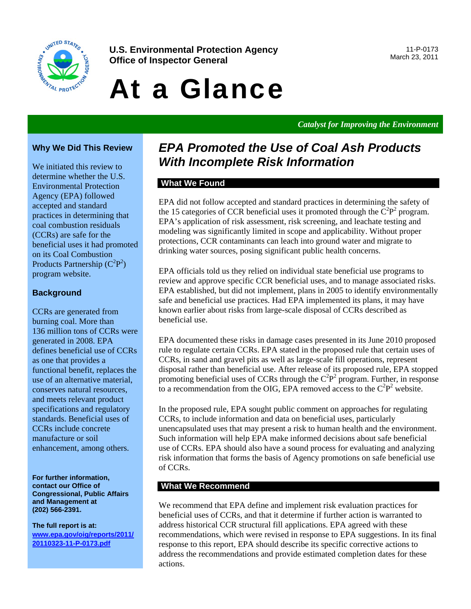

**U.S. Environmental Protection Agency** 11-P-0173<br> **Cffice of Increases: Concrol Office of Inspector General** 

# At a Glance

*Catalyst for Improving the Environment* 

#### **Why We Did This Review**

We initiated this review to determine whether the U.S. Environmental Protection Agency (EPA) followed accepted and standard practices in determining that coal combustion residuals (CCRs) are safe for the beneficial uses it had promoted on its Coal Combustion Products Partnership  $(C^2P^2)$ program website.

#### **Background**

CCRs are generated from burning coal. More than 136 million tons of CCRs were generated in 2008. EPA defines beneficial use of CCRs as one that provides a functional benefit, replaces the use of an alternative material, conserves natural resources, and meets relevant product specifications and regulatory standards. Beneficial uses of CCRs include concrete manufacture or soil enhancement, among others.

**For further information, contact our Office of Congressional, Public Affairs and Management at (202) 566-2391.** 

**The full report is at: [www.epa.gov/oig/reports/2011/](http://www.epa.gov/oig/reports/2011/20110323-11-P-0173.pdf)  20110323-11-P-0173.pdf** 

### *EPA Promoted the Use of Coal Ash Products With Incomplete Risk Information*

#### **What We Found**

EPA did not follow accepted and standard practices in determining the safety of the 15 categories of CCR beneficial uses it promoted through the  $\overline{C}^2P^2$  program. EPA's application of risk assessment, risk screening, and leachate testing and modeling was significantly limited in scope and applicability. Without proper protections, CCR contaminants can leach into ground water and migrate to drinking water sources, posing significant public health concerns.

EPA officials told us they relied on individual state beneficial use programs to review and approve specific CCR beneficial uses, and to manage associated risks. EPA established, but did not implement, plans in 2005 to identify environmentally safe and beneficial use practices. Had EPA implemented its plans, it may have known earlier about risks from large-scale disposal of CCRs described as beneficial use.

EPA documented these risks in damage cases presented in its June 2010 proposed rule to regulate certain CCRs. EPA stated in the proposed rule that certain uses of CCRs, in sand and gravel pits as well as large-scale fill operations, represent disposal rather than beneficial use. After release of its proposed rule, EPA stopped promoting beneficial uses of CCRs through the  $C^2P^2$  program. Further, in response to a recommendation from the OIG, EPA removed access to the  $C^2P^2$  website.

In the proposed rule, EPA sought public comment on approaches for regulating CCRs, to include information and data on beneficial uses, particularly unencapsulated uses that may present a risk to human health and the environment. Such information will help EPA make informed decisions about safe beneficial use of CCRs. EPA should also have a sound process for evaluating and analyzing risk information that forms the basis of Agency promotions on safe beneficial use of CCRs.

#### **What We Recommend**

We recommend that EPA define and implement risk evaluation practices for beneficial uses of CCRs, and that it determine if further action is warranted to address historical CCR structural fill applications. EPA agreed with these recommendations, which were revised in response to EPA suggestions. In its final response to this report, EPA should describe its specific corrective actions to address the recommendations and provide estimated completion dates for these actions.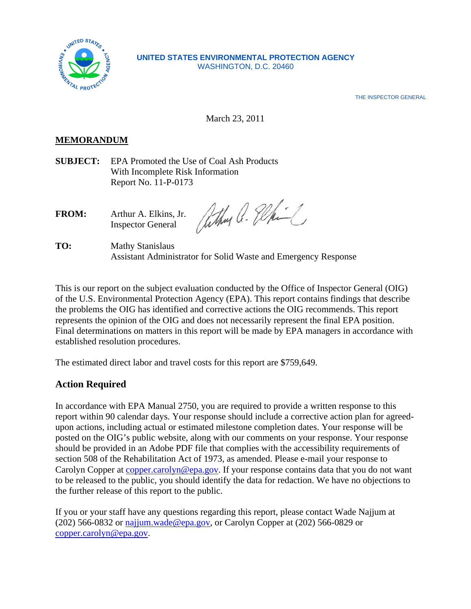

#### **UNITED STATES ENVIRONMENTAL PROTECTION AGENCY**  WASHINGTON, D.C. 20460

THE INSPECTOR GENERAL

#### March 23, 2011

#### **MEMORANDUM**

**SUBJECT:** EPA Promoted the Use of Coal Ash Products With Incomplete Risk Information Report No. 11-P-0173

**FROM:** Arthur A. Elkins, Jr. Inspector General

athur a. Elhin

TO: **Mathy Stanislaus** Assistant Administrator for Solid Waste and Emergency Response

This is our report on the subject evaluation conducted by the Office of Inspector General (OIG) of the U.S. Environmental Protection Agency (EPA). This report contains findings that describe the problems the OIG has identified and corrective actions the OIG recommends. This report represents the opinion of the OIG and does not necessarily represent the final EPA position. Final determinations on matters in this report will be made by EPA managers in accordance with established resolution procedures.

The estimated direct labor and travel costs for this report are \$759,649.

#### **Action Required**

In accordance with EPA Manual 2750, you are required to provide a written response to this report within 90 calendar days. Your response should include a corrective action plan for agreedupon actions, including actual or estimated milestone completion dates. Your response will be posted on the OIG's public website, along with our comments on your response. Your response should be provided in an Adobe PDF file that complies with the accessibility requirements of section 508 of the Rehabilitation Act of 1973, as amended. Please e-mail your response to Carolyn Copper at [copper.carolyn@epa.gov. If](mailto:copper.carolyn@epa.gov) your response contains data that you do not want to be released to the public, you should identify the data for redaction. We have no objections to the further release of this report to the public.

If you or your staff have any questions regarding this report, please contact Wade Najjum at (202) 566-0832 or [najjum.wade@epa.gov, or](mailto:najjum.wade@epa.gov) Carolyn Copper at (202) 566-0829 or [copper.carolyn@epa.gov.](mailto:copper.carolyn@epa.gov)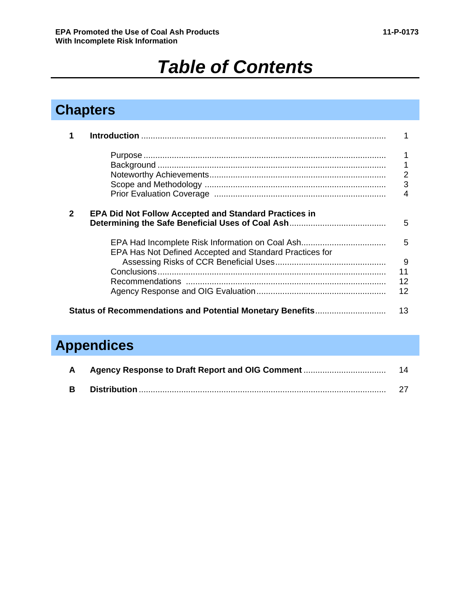### *Table of Contents*

### **Chapters**

|              |                                                              | $\overline{2}$ |
|--------------|--------------------------------------------------------------|----------------|
|              |                                                              | 3              |
|              |                                                              | 4              |
| $\mathbf{2}$ | <b>EPA Did Not Follow Accepted and Standard Practices in</b> | 5              |
|              | EPA Has Not Defined Accepted and Standard Practices for      | 5              |
|              |                                                              | 9              |
|              |                                                              | 11             |
|              |                                                              | 12             |
|              |                                                              | 12             |
|              | Status of Recommendations and Potential Monetary Benefits    | 13             |

### **Appendices**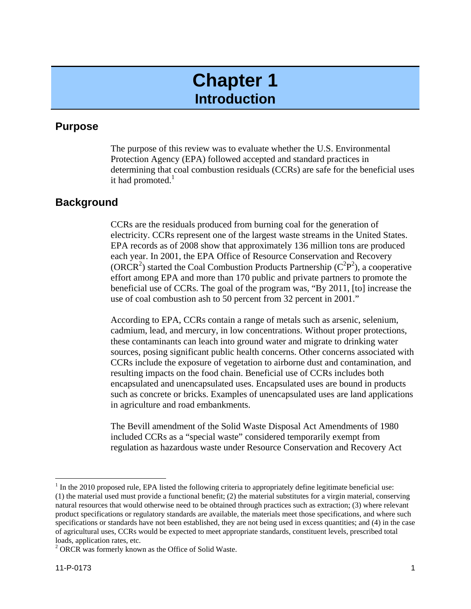### **Chapter 1 Introduction**

#### **Purpose**

The purpose of this review was to evaluate whether the U.S. Environmental Protection Agency (EPA) followed accepted and standard practices in determining that coal combustion residuals (CCRs) are safe for the beneficial uses it had promoted. $<sup>1</sup>$ </sup>

#### **Background**

CCRs are the residuals produced from burning coal for the generation of electricity. CCRs represent one of the largest waste streams in the United States. EPA records as of 2008 show that approximately 136 million tons are produced each year. In 2001, the EPA Office of Resource Conservation and Recovery (ORCR<sup>2</sup>) started the Coal Combustion Products Partnership ( $C^2P^2$ ), a cooperative effort among EPA and more than 170 public and private partners to promote the beneficial use of CCRs. The goal of the program was, "By 2011, [to] increase the use of coal combustion ash to 50 percent from 32 percent in 2001."

According to EPA, CCRs contain a range of metals such as arsenic, selenium, cadmium, lead, and mercury, in low concentrations. Without proper protections, these contaminants can leach into ground water and migrate to drinking water sources, posing significant public health concerns. Other concerns associated with CCRs include the exposure of vegetation to airborne dust and contamination, and resulting impacts on the food chain. Beneficial use of CCRs includes both encapsulated and unencapsulated uses. Encapsulated uses are bound in products such as concrete or bricks. Examples of unencapsulated uses are land applications in agriculture and road embankments.

The Bevill amendment of the Solid Waste Disposal Act Amendments of 1980 included CCRs as a "special waste" considered temporarily exempt from regulation as hazardous waste under Resource Conservation and Recovery Act

 natural resources that would otherwise need to be obtained through practices such as extraction; (3) where relevant specifications or standards have not been established, they are not being used in excess quantities; and (4) in the case  $1$  In the 2010 proposed rule, EPA listed the following criteria to appropriately define legitimate beneficial use: (1) the material used must provide a functional benefit; (2) the material substitutes for a virgin material, conserving product specifications or regulatory standards are available, the materials meet those specifications, and where such of agricultural uses, CCRs would be expected to meet appropriate standards, constituent levels, prescribed total loads, application rates, etc.

<sup>&</sup>lt;sup>2</sup> ORCR was formerly known as the Office of Solid Waste.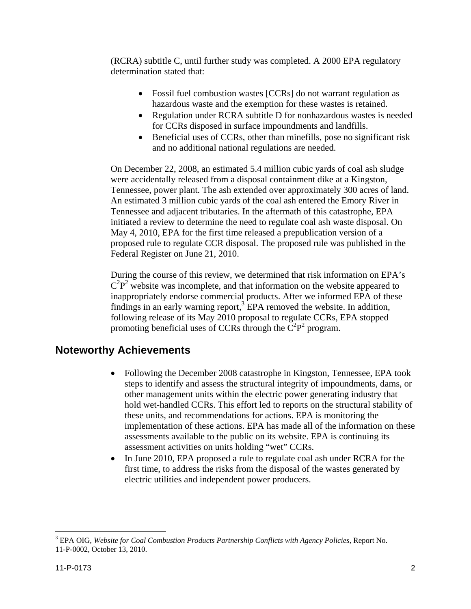(RCRA) subtitle C, until further study was completed. A 2000 EPA regulatory determination stated that:

- Fossil fuel combustion wastes [CCRs] do not warrant regulation as hazardous waste and the exemption for these wastes is retained.
- Regulation under RCRA subtitle D for nonhazardous wastes is needed for CCRs disposed in surface impoundments and landfills.
- Beneficial uses of CCRs, other than minefills, pose no significant risk and no additional national regulations are needed.

On December 22, 2008, an estimated 5.4 million cubic yards of coal ash sludge were accidentally released from a disposal containment dike at a Kingston, Tennessee, power plant. The ash extended over approximately 300 acres of land. An estimated 3 million cubic yards of the coal ash entered the Emory River in Tennessee and adjacent tributaries. In the aftermath of this catastrophe, EPA initiated a review to determine the need to regulate coal ash waste disposal. On May 4, 2010, EPA for the first time released a prepublication version of a proposed rule to regulate CCR disposal. The proposed rule was published in the Federal Register on June 21, 2010.

During the course of this review, we determined that risk information on EPA's  $C^2P^2$  website was incomplete, and that information on the website appeared to inappropriately endorse commercial products. After we informed EPA of these findings in an early warning report,<sup>3</sup> EPA removed the website. In addition, following release of its May 2010 proposal to regulate CCRs, EPA stopped promoting beneficial uses of CCRs through the  $\overline{C}^2P^2$  program.

#### **Noteworthy Achievements**

- Following the December 2008 catastrophe in Kingston, Tennessee, EPA took steps to identify and assess the structural integrity of impoundments, dams, or other management units within the electric power generating industry that hold wet-handled CCRs. This effort led to reports on the structural stability of these units, and recommendations for actions. EPA is monitoring the implementation of these actions. EPA has made all of the information on these assessments available to the public on its website. EPA is continuing its assessment activities on units holding "wet" CCRs.
- In June 2010, EPA proposed a rule to regulate coal ash under RCRA for the first time, to address the risks from the disposal of the wastes generated by electric utilities and independent power producers.

1

<sup>3</sup> EPA OIG, *Website for Coal Combustion Products Partnership Conflicts with Agency Policies*, Report No. 11-P-0002, October 13, 2010.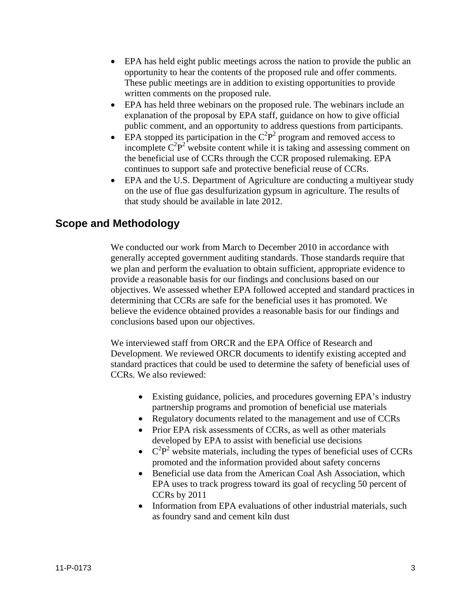- EPA has held eight public meetings across the nation to provide the public an opportunity to hear the contents of the proposed rule and offer comments. These public meetings are in addition to existing opportunities to provide written comments on the proposed rule.
- EPA has held three webinars on the proposed rule. The webinars include an explanation of the proposal by EPA staff, guidance on how to give official public comment, and an opportunity to address questions from participants.
- EPA stopped its participation in the  $C^2P^2$  program and removed access to incomplete  $C^2P^2$  website content while it is taking and assessing comment on the beneficial use of CCRs through the CCR proposed rulemaking. EPA continues to support safe and protective beneficial reuse of CCRs.
- EPA and the U.S. Department of Agriculture are conducting a multiyear study on the use of flue gas desulfurization gypsum in agriculture. The results of that study should be available in late 2012.

#### **Scope and Methodology**

We conducted our work from March to December 2010 in accordance with generally accepted government auditing standards. Those standards require that we plan and perform the evaluation to obtain sufficient, appropriate evidence to provide a reasonable basis for our findings and conclusions based on our objectives. We assessed whether EPA followed accepted and standard practices in determining that CCRs are safe for the beneficial uses it has promoted. We believe the evidence obtained provides a reasonable basis for our findings and conclusions based upon our objectives.

We interviewed staff from ORCR and the EPA Office of Research and Development. We reviewed ORCR documents to identify existing accepted and standard practices that could be used to determine the safety of beneficial uses of CCRs. We also reviewed:

- Existing guidance, policies, and procedures governing EPA's industry partnership programs and promotion of beneficial use materials
- Regulatory documents related to the management and use of CCRs
- Prior EPA risk assessments of CCRs, as well as other materials developed by EPA to assist with beneficial use decisions
- $\bullet$   $C^2P^2$  website materials, including the types of beneficial uses of CCRs promoted and the information provided about safety concerns
- Beneficial use data from the American Coal Ash Association, which EPA uses to track progress toward its goal of recycling 50 percent of CCRs by 2011
- Information from EPA evaluations of other industrial materials, such as foundry sand and cement kiln dust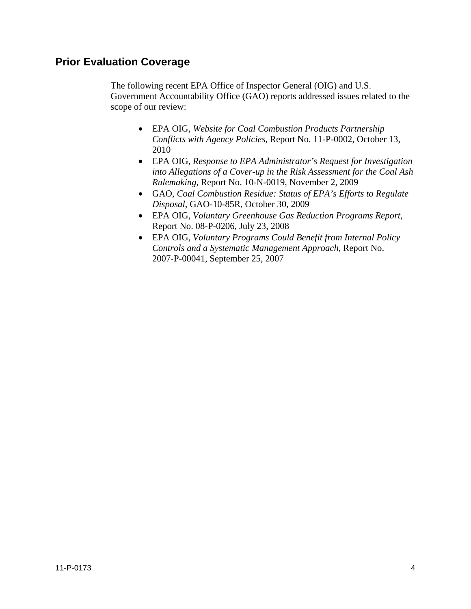#### **Prior Evaluation Coverage**

The following recent EPA Office of Inspector General (OIG) and U.S. Government Accountability Office (GAO) reports addressed issues related to the scope of our review:

- EPA OIG, *Website for Coal Combustion Products Partnership Conflicts with Agency Policies*, Report No. 11-P-0002, October 13, 2010
- EPA OIG, *Response to EPA Administrator's Request for Investigation into Allegations of a Cover-up in the Risk Assessment for the Coal Ash Rulemaking*, Report No. 10-N-0019, November 2, 2009
- GAO, *Coal Combustion Residue: Status of EPA's Efforts to Regulate Disposal*, GAO-10-85R, October 30, 2009
- EPA OIG, *Voluntary Greenhouse Gas Reduction Programs Report*, Report No. 08-P-0206, July 23, 2008
- EPA OIG, *Voluntary Programs Could Benefit from Internal Policy Controls and a Systematic Management Approach*, Report No. 2007-P-00041, September 25, 2007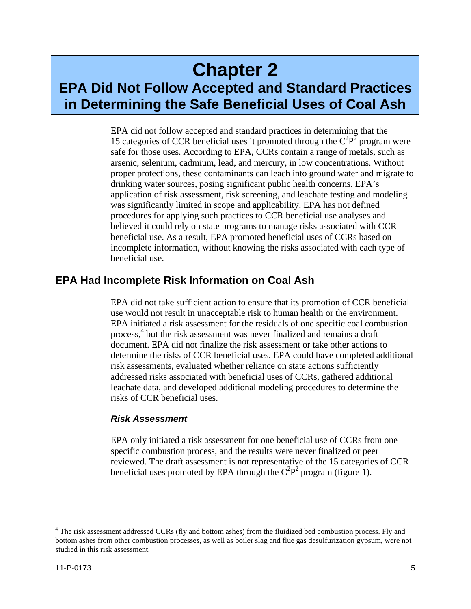### **Chapter 2**

### **EPA Did Not Follow Accepted and Standard Practices in Determining the Safe Beneficial Uses of Coal Ash**

EPA did not follow accepted and standard practices in determining that the 15 categories of CCR beneficial uses it promoted through the  $C^2P^2$  program were safe for those uses. According to EPA, CCRs contain a range of metals, such as arsenic, selenium, cadmium, lead, and mercury, in low concentrations. Without proper protections, these contaminants can leach into ground water and migrate to drinking water sources, posing significant public health concerns. EPA's application of risk assessment, risk screening, and leachate testing and modeling was significantly limited in scope and applicability. EPA has not defined procedures for applying such practices to CCR beneficial use analyses and believed it could rely on state programs to manage risks associated with CCR beneficial use. As a result, EPA promoted beneficial uses of CCRs based on incomplete information, without knowing the risks associated with each type of beneficial use.

#### **EPA Had Incomplete Risk Information on Coal Ash**

EPA did not take sufficient action to ensure that its promotion of CCR beneficial use would not result in unacceptable risk to human health or the environment. EPA initiated a risk assessment for the residuals of one specific coal combustion process, 4 but the risk assessment was never finalized and remains a draft document. EPA did not finalize the risk assessment or take other actions to determine the risks of CCR beneficial uses. EPA could have completed additional risk assessments, evaluated whether reliance on state actions sufficiently addressed risks associated with beneficial uses of CCRs, gathered additional leachate data, and developed additional modeling procedures to determine the risks of CCR beneficial uses.

#### *Risk Assessment*

EPA only initiated a risk assessment for one beneficial use of CCRs from one specific combustion process, and the results were never finalized or peer reviewed. The draft assessment is not representative of the 15 categories of CCR beneficial uses promoted by EPA through the  $C^2P^2$  program (figure 1).

<sup>&</sup>lt;sup>4</sup> The risk assessment addressed CCRs (fly and bottom ashes) from the fluidized bed combustion process. Fly and bottom ashes from other combustion processes, as well as boiler slag and flue gas desulfurization gypsum, were not studied in this risk assessment.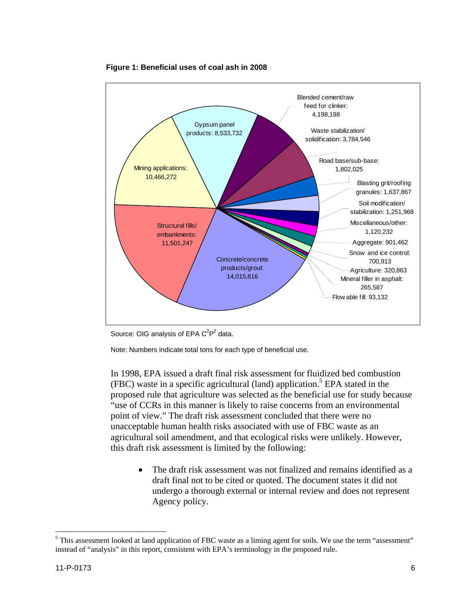



Source: OIG analysis of EPA  $C^2P^2$  data.

Note: Numbers indicate total tons for each type of beneficial use.

In 1998, EPA issued a draft final risk assessment for fluidized bed combustion  $(FBC)$  waste in a specific agricultural (land) application.<sup>5</sup> EPA stated in the proposed rule that agriculture was selected as the beneficial use for study because "use of CCRs in this manner is likely to raise concerns from an environmental point of view." The draft risk assessment concluded that there were no unacceptable human health risks associated with use of FBC waste as an agricultural soil amendment, and that ecological risks were unlikely. However, this draft risk assessment is limited by the following:

 The draft risk assessment was not finalized and remains identified as a draft final not to be cited or quoted. The document states it did not undergo a thorough external or internal review and does not represent Agency policy.

 $<sup>5</sup>$  This assessment looked at land application of FBC waste as a liming agent for soils. We use the term "assessment"</sup> instead of "analysis" in this report, consistent with EPA's terminology in the proposed rule.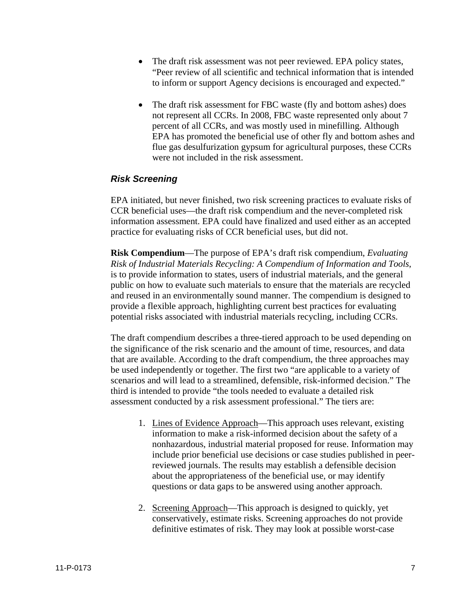- The draft risk assessment was not peer reviewed. EPA policy states, "Peer review of all scientific and technical information that is intended to inform or support Agency decisions is encouraged and expected."
- The draft risk assessment for FBC waste (fly and bottom ashes) does not represent all CCRs. In 2008, FBC waste represented only about 7 percent of all CCRs, and was mostly used in minefilling. Although EPA has promoted the beneficial use of other fly and bottom ashes and flue gas desulfurization gypsum for agricultural purposes, these CCRs were not included in the risk assessment.

#### *Risk Screening*

EPA initiated, but never finished, two risk screening practices to evaluate risks of CCR beneficial uses—the draft risk compendium and the never-completed risk information assessment. EPA could have finalized and used either as an accepted practice for evaluating risks of CCR beneficial uses, but did not.

**Risk Compendium**—The purpose of EPA's draft risk compendium, *Evaluating Risk of Industrial Materials Recycling: A Compendium of Information and Tools*, is to provide information to states, users of industrial materials, and the general public on how to evaluate such materials to ensure that the materials are recycled and reused in an environmentally sound manner. The compendium is designed to provide a flexible approach, highlighting current best practices for evaluating potential risks associated with industrial materials recycling, including CCRs.

The draft compendium describes a three-tiered approach to be used depending on the significance of the risk scenario and the amount of time, resources, and data that are available. According to the draft compendium, the three approaches may be used independently or together. The first two "are applicable to a variety of scenarios and will lead to a streamlined, defensible, risk-informed decision." The third is intended to provide "the tools needed to evaluate a detailed risk assessment conducted by a risk assessment professional." The tiers are:

- 1. Lines of Evidence Approach—This approach uses relevant, existing information to make a risk-informed decision about the safety of a nonhazardous, industrial material proposed for reuse. Information may include prior beneficial use decisions or case studies published in peerreviewed journals. The results may establish a defensible decision about the appropriateness of the beneficial use, or may identify questions or data gaps to be answered using another approach.
- 2. Screening Approach—This approach is designed to quickly, yet conservatively, estimate risks. Screening approaches do not provide definitive estimates of risk. They may look at possible worst-case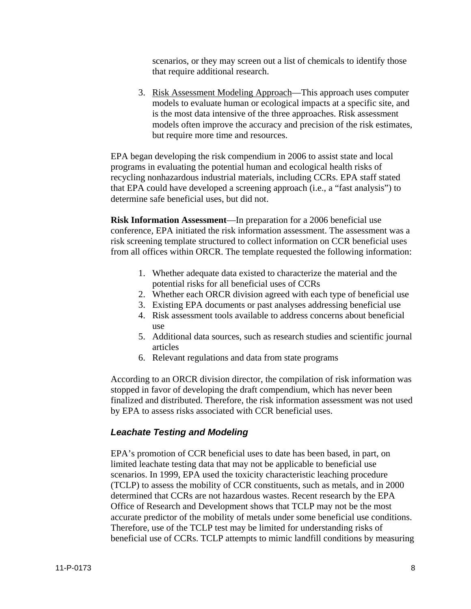scenarios, or they may screen out a list of chemicals to identify those that require additional research.

3. Risk Assessment Modeling Approach—This approach uses computer models to evaluate human or ecological impacts at a specific site, and is the most data intensive of the three approaches. Risk assessment models often improve the accuracy and precision of the risk estimates, but require more time and resources.

EPA began developing the risk compendium in 2006 to assist state and local programs in evaluating the potential human and ecological health risks of recycling nonhazardous industrial materials, including CCRs. EPA staff stated that EPA could have developed a screening approach (i.e., a "fast analysis") to determine safe beneficial uses, but did not.

**Risk Information Assessment**—In preparation for a 2006 beneficial use conference, EPA initiated the risk information assessment. The assessment was a risk screening template structured to collect information on CCR beneficial uses from all offices within ORCR. The template requested the following information:

- 1. Whether adequate data existed to characterize the material and the potential risks for all beneficial uses of CCRs
- 2. Whether each ORCR division agreed with each type of beneficial use
- 3. Existing EPA documents or past analyses addressing beneficial use
- 4. Risk assessment tools available to address concerns about beneficial use
- 5. Additional data sources, such as research studies and scientific journal articles
- 6. Relevant regulations and data from state programs

According to an ORCR division director, the compilation of risk information was stopped in favor of developing the draft compendium, which has never been finalized and distributed. Therefore, the risk information assessment was not used by EPA to assess risks associated with CCR beneficial uses.

#### *Leachate Testing and Modeling*

EPA's promotion of CCR beneficial uses to date has been based, in part, on limited leachate testing data that may not be applicable to beneficial use scenarios. In 1999, EPA used the toxicity characteristic leaching procedure (TCLP) to assess the mobility of CCR constituents, such as metals, and in 2000 determined that CCRs are not hazardous wastes. Recent research by the EPA Office of Research and Development shows that TCLP may not be the most accurate predictor of the mobility of metals under some beneficial use conditions. Therefore, use of the TCLP test may be limited for understanding risks of beneficial use of CCRs. TCLP attempts to mimic landfill conditions by measuring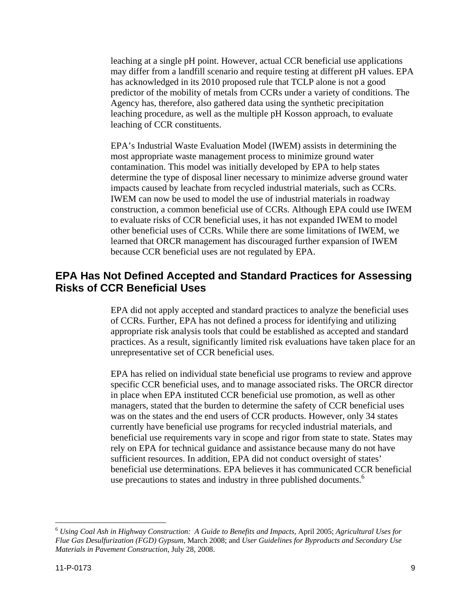leaching at a single pH point. However, actual CCR beneficial use applications may differ from a landfill scenario and require testing at different pH values. EPA has acknowledged in its 2010 proposed rule that TCLP alone is not a good predictor of the mobility of metals from CCRs under a variety of conditions. The Agency has, therefore, also gathered data using the synthetic precipitation leaching procedure, as well as the multiple pH Kosson approach, to evaluate leaching of CCR constituents.

EPA's Industrial Waste Evaluation Model (IWEM) assists in determining the most appropriate waste management process to minimize ground water contamination. This model was initially developed by EPA to help states determine the type of disposal liner necessary to minimize adverse ground water impacts caused by leachate from recycled industrial materials, such as CCRs. IWEM can now be used to model the use of industrial materials in roadway construction, a common beneficial use of CCRs. Although EPA could use IWEM to evaluate risks of CCR beneficial uses, it has not expanded IWEM to model other beneficial uses of CCRs. While there are some limitations of IWEM, we learned that ORCR management has discouraged further expansion of IWEM because CCR beneficial uses are not regulated by EPA.

#### **EPA Has Not Defined Accepted and Standard Practices for Assessing Risks of CCR Beneficial Uses**

EPA did not apply accepted and standard practices to analyze the beneficial uses of CCRs. Further, EPA has not defined a process for identifying and utilizing appropriate risk analysis tools that could be established as accepted and standard practices. As a result, significantly limited risk evaluations have taken place for an unrepresentative set of CCR beneficial uses.

EPA has relied on individual state beneficial use programs to review and approve specific CCR beneficial uses, and to manage associated risks. The ORCR director in place when EPA instituted CCR beneficial use promotion, as well as other managers, stated that the burden to determine the safety of CCR beneficial uses was on the states and the end users of CCR products. However, only 34 states currently have beneficial use programs for recycled industrial materials, and beneficial use requirements vary in scope and rigor from state to state. States may rely on EPA for technical guidance and assistance because many do not have sufficient resources. In addition, EPA did not conduct oversight of states' beneficial use determinations. EPA believes it has communicated CCR beneficial use precautions to states and industry in three published documents.<sup>6</sup>

<sup>6</sup>*Using Coal Ash in Highway Construction: A Guide to Benefits and Impacts*, April 2005; *Agricultural Uses for Flue Gas Desulfurization (FGD) Gypsum*, March 2008; and *User Guidelines for Byproducts and Secondary Use Materials in Pavement Construction*, July 28, 2008.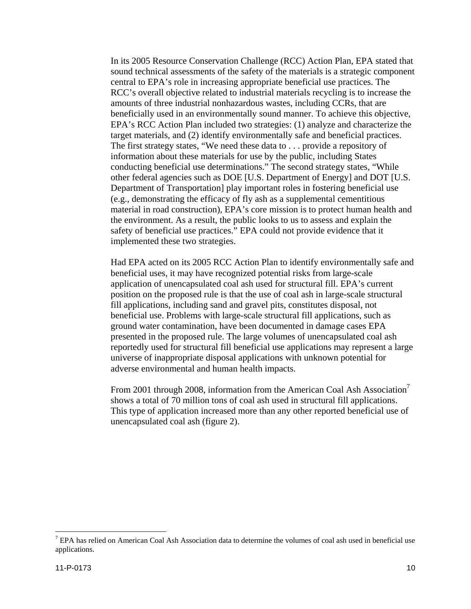implemented these two strategies. In its 2005 Resource Conservation Challenge (RCC) Action Plan, EPA stated that sound technical assessments of the safety of the materials is a strategic component central to EPA's role in increasing appropriate beneficial use practices. The RCC's overall objective related to industrial materials recycling is to increase the amounts of three industrial nonhazardous wastes, including CCRs, that are beneficially used in an environmentally sound manner. To achieve this objective, EPA's RCC Action Plan included two strategies: (1) analyze and characterize the target materials, and (2) identify environmentally safe and beneficial practices. The first strategy states, "We need these data to . . . provide a repository of information about these materials for use by the public, including States conducting beneficial use determinations." The second strategy states, "While other federal agencies such as DOE [U.S. Department of Energy] and DOT [U.S. Department of Transportation] play important roles in fostering beneficial use (e.g., demonstrating the efficacy of fly ash as a supplemental cementitious material in road construction), EPA's core mission is to protect human health and the environment. As a result, the public looks to us to assess and explain the safety of beneficial use practices." EPA could not provide evidence that it

Had EPA acted on its 2005 RCC Action Plan to identify environmentally safe and beneficial uses, it may have recognized potential risks from large-scale application of unencapsulated coal ash used for structural fill. EPA's current position on the proposed rule is that the use of coal ash in large-scale structural fill applications, including sand and gravel pits, constitutes disposal, not beneficial use. Problems with large-scale structural fill applications, such as ground water contamination, have been documented in damage cases EPA presented in the proposed rule. The large volumes of unencapsulated coal ash reportedly used for structural fill beneficial use applications may represent a large universe of inappropriate disposal applications with unknown potential for adverse environmental and human health impacts.

From 2001 through 2008, information from the American Coal Ash Association shows a total of 70 million tons of coal ash used in structural fill applications. This type of application increased more than any other reported beneficial use of unencapsulated coal ash (figure 2).

 $<sup>7</sup>$  EPA has relied on American Coal Ash Association data to determine the volumes of coal ash used in beneficial use</sup> applications.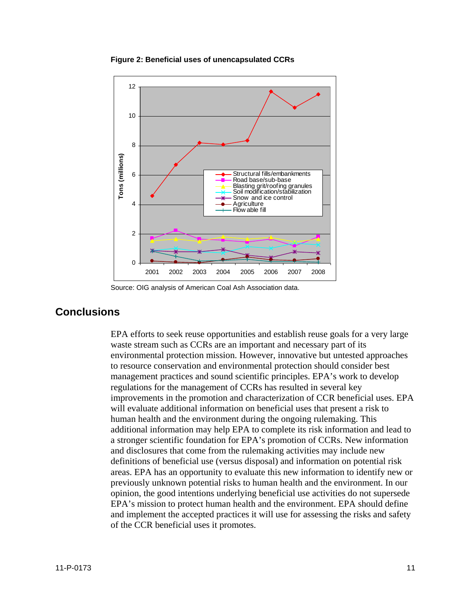

**Figure 2: Beneficial uses of unencapsulated CCRs** 

Source: OIG analysis of American Coal Ash Association data.

#### **Conclusions**

EPA efforts to seek reuse opportunities and establish reuse goals for a very large waste stream such as CCRs are an important and necessary part of its environmental protection mission. However, innovative but untested approaches to resource conservation and environmental protection should consider best management practices and sound scientific principles. EPA's work to develop regulations for the management of CCRs has resulted in several key improvements in the promotion and characterization of CCR beneficial uses. EPA will evaluate additional information on beneficial uses that present a risk to human health and the environment during the ongoing rulemaking. This additional information may help EPA to complete its risk information and lead to a stronger scientific foundation for EPA's promotion of CCRs. New information and disclosures that come from the rulemaking activities may include new definitions of beneficial use (versus disposal) and information on potential risk areas. EPA has an opportunity to evaluate this new information to identify new or previously unknown potential risks to human health and the environment. In our opinion, the good intentions underlying beneficial use activities do not supersede EPA's mission to protect human health and the environment. EPA should define and implement the accepted practices it will use for assessing the risks and safety of the CCR beneficial uses it promotes.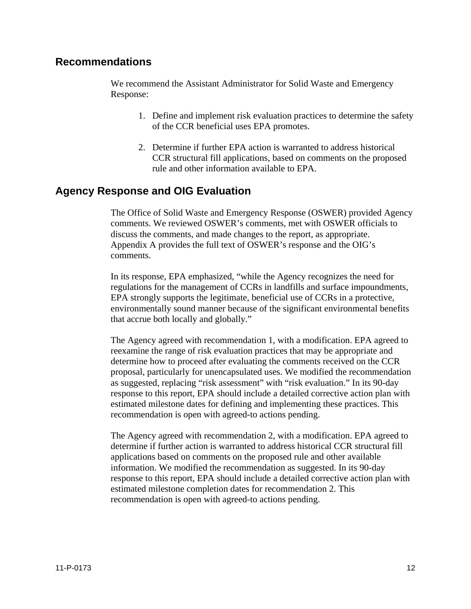#### **Recommendations**

We recommend the Assistant Administrator for Solid Waste and Emergency Response:

- 1. Define and implement risk evaluation practices to determine the safety of the CCR beneficial uses EPA promotes.
- 2. Determine if further EPA action is warranted to address historical CCR structural fill applications, based on comments on the proposed rule and other information available to EPA.

#### **Agency Response and OIG Evaluation**

The Office of Solid Waste and Emergency Response (OSWER) provided Agency comments. We reviewed OSWER's comments, met with OSWER officials to discuss the comments, and made changes to the report, as appropriate. Appendix A provides the full text of OSWER's response and the OIG's comments.

In its response, EPA emphasized, "while the Agency recognizes the need for regulations for the management of CCRs in landfills and surface impoundments, EPA strongly supports the legitimate, beneficial use of CCRs in a protective, environmentally sound manner because of the significant environmental benefits that accrue both locally and globally."

The Agency agreed with recommendation 1, with a modification. EPA agreed to reexamine the range of risk evaluation practices that may be appropriate and determine how to proceed after evaluating the comments received on the CCR proposal, particularly for unencapsulated uses. We modified the recommendation as suggested, replacing "risk assessment" with "risk evaluation." In its 90-day response to this report, EPA should include a detailed corrective action plan with estimated milestone dates for defining and implementing these practices. This recommendation is open with agreed-to actions pending.

The Agency agreed with recommendation 2, with a modification. EPA agreed to determine if further action is warranted to address historical CCR structural fill applications based on comments on the proposed rule and other available information. We modified the recommendation as suggested. In its 90-day response to this report, EPA should include a detailed corrective action plan with estimated milestone completion dates for recommendation 2. This recommendation is open with agreed-to actions pending.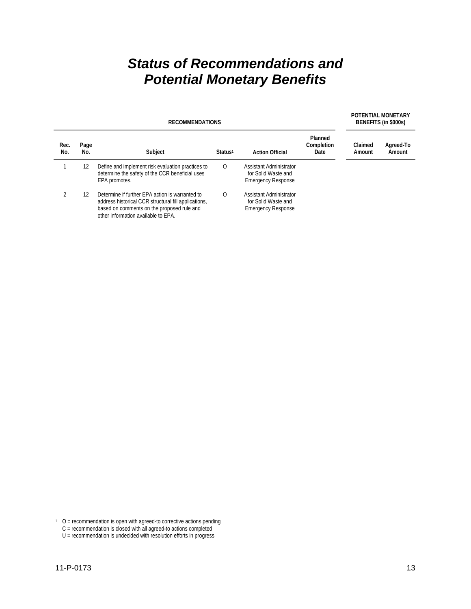### *Status of Recommendations and Potential Monetary Benefits*

|             | <b>RECOMMENDATIONS</b> |                                                                                                                                                                                              |                     |                                                                             |                               | POTENTIAL MONETARY<br>BENEFITS (in \$000s) |                     |
|-------------|------------------------|----------------------------------------------------------------------------------------------------------------------------------------------------------------------------------------------|---------------------|-----------------------------------------------------------------------------|-------------------------------|--------------------------------------------|---------------------|
| Rec.<br>No. | Page<br>No.            | Subject                                                                                                                                                                                      | Status <sup>1</sup> | <b>Action Official</b>                                                      | Planned<br>Completion<br>Date | Claimed<br>Amount                          | Agreed-To<br>Amount |
|             | 12                     | Define and implement risk evaluation practices to<br>determine the safety of the CCR beneficial uses<br>EPA promotes.                                                                        | $\Omega$            | Assistant Administrator<br>for Solid Waste and<br><b>Emergency Response</b> |                               |                                            |                     |
|             | 12                     | Determine if further EPA action is warranted to<br>address historical CCR structural fill applications,<br>based on comments on the proposed rule and<br>other information available to EPA. | O                   | Assistant Administrator<br>for Solid Waste and<br><b>Emergency Response</b> |                               |                                            |                     |

O = recommendation is open with agreed-to corrective actions pending 1

C = recommendation is closed with all agreed-to actions completed

U = recommendation is undecided with resolution efforts in progress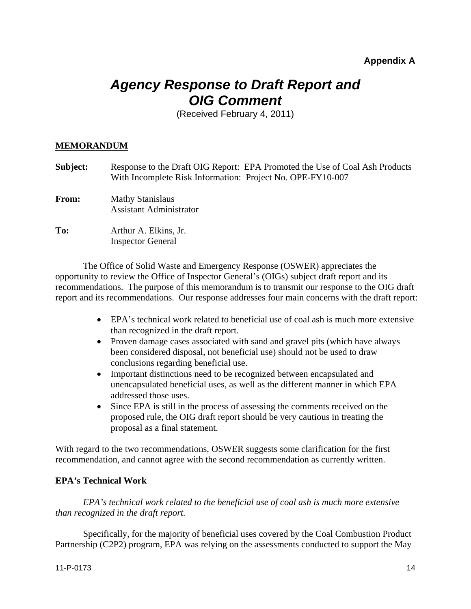### *Agency Response to Draft Report and OIG Comment*

(Received February 4, 2011)

#### **MEMORANDUM**

| Subject:     | Response to the Draft OIG Report: EPA Promoted the Use of Coal Ash Products<br>With Incomplete Risk Information: Project No. OPE-FY10-007 |
|--------------|-------------------------------------------------------------------------------------------------------------------------------------------|
| <b>From:</b> | <b>Mathy Stanislaus</b><br><b>Assistant Administrator</b>                                                                                 |
| To:          | Arthur A. Elkins, Jr.<br><b>Inspector General</b>                                                                                         |

The Office of Solid Waste and Emergency Response (OSWER) appreciates the opportunity to review the Office of Inspector General's (OIGs) subject draft report and its recommendations. The purpose of this memorandum is to transmit our response to the OIG draft report and its recommendations. Our response addresses four main concerns with the draft report:

- EPA's technical work related to beneficial use of coal ash is much more extensive than recognized in the draft report.
- Proven damage cases associated with sand and gravel pits (which have always been considered disposal, not beneficial use) should not be used to draw conclusions regarding beneficial use.
- Important distinctions need to be recognized between encapsulated and unencapsulated beneficial uses, as well as the different manner in which EPA addressed those uses.
- Since EPA is still in the process of assessing the comments received on the proposed rule, the OIG draft report should be very cautious in treating the proposal as a final statement.

With regard to the two recommendations, OSWER suggests some clarification for the first recommendation, and cannot agree with the second recommendation as currently written.

#### **EPA's Technical Work**

*EPA's technical work related to the beneficial use of coal ash is much more extensive than recognized in the draft report.* 

Specifically, for the majority of beneficial uses covered by the Coal Combustion Product Partnership (C2P2) program, EPA was relying on the assessments conducted to support the May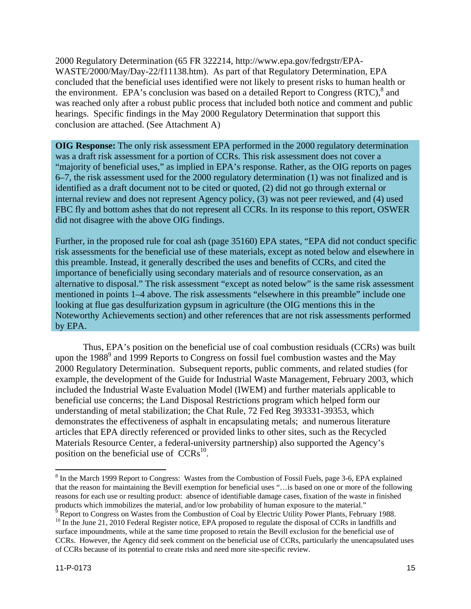2000 Regulatory Determination (65 FR 322214, http://www.epa.gov/fedrgstr/EPA-WASTE/2000/May/Day-22/f11138.htm). As part of that Regulatory Determination, EPA concluded that the beneficial uses identified were not likely to present risks to human health or the environment. EPA's conclusion was based on a detailed Report to Congress  $(RTC)^8$  and was reached only after a robust public process that included both notice and comment and public hearings. Specific findings in the May 2000 Regulatory Determination that support this conclusion are attached. (See Attachment A)

**OIG Response:** The only risk assessment EPA performed in the 2000 regulatory determination was a draft risk assessment for a portion of CCRs. This risk assessment does not cover a "majority of beneficial uses," as implied in EPA's response. Rather, as the OIG reports on pages 6–7, the risk assessment used for the 2000 regulatory determination (1) was not finalized and is identified as a draft document not to be cited or quoted, (2) did not go through external or internal review and does not represent Agency policy, (3) was not peer reviewed, and (4) used FBC fly and bottom ashes that do not represent all CCRs. In its response to this report, OSWER did not disagree with the above OIG findings.

Further, in the proposed rule for coal ash (page 35160) EPA states, "EPA did not conduct specific risk assessments for the beneficial use of these materials, except as noted below and elsewhere in this preamble. Instead, it generally described the uses and benefits of CCRs, and cited the importance of beneficially using secondary materials and of resource conservation, as an alternative to disposal." The risk assessment "except as noted below" is the same risk assessment mentioned in points 1–4 above. The risk assessments "elsewhere in this preamble" include one looking at flue gas desulfurization gypsum in agriculture (the OIG mentions this in the Noteworthy Achievements section) and other references that are not risk assessments performed by EPA.

Thus, EPA's position on the beneficial use of coal combustion residuals (CCRs) was built upon the 1988 $9$  and 1999 Reports to Congress on fossil fuel combustion wastes and the May 2000 Regulatory Determination. Subsequent reports, public comments, and related studies (for example, the development of the Guide for Industrial Waste Management, February 2003, which included the Industrial Waste Evaluation Model (IWEM) and further materials applicable to beneficial use concerns; the Land Disposal Restrictions program which helped form our understanding of metal stabilization; the Chat Rule, 72 Fed Reg 393331-39353, which demonstrates the effectiveness of asphalt in encapsulating metals; and numerous literature articles that EPA directly referenced or provided links to other sites, such as the Recycled Materials Resource Center, a federal-university partnership) also supported the Agency's position on the beneficial use of  $CCRs<sup>10</sup>$ .

 that the reason for maintaining the Bevill exemption for beneficial uses "…is based on one or more of the following <sup>8</sup> In the March 1999 Report to Congress: Wastes from the Combustion of Fossil Fuels, page 3-6, EPA explained reasons for each use or resulting product: absence of identifiable damage cases, fixation of the waste in finished products which immobilizes the material, and/or low probability of human exposure to the material."

<sup>&</sup>lt;sup>9</sup> Report to Congress on Wastes from the Combustion of Coal by Electric Utility Power Plants, February 1988. <sup>10</sup> In the June 21, 2010 Federal Register notice, EPA proposed to regulate the disposal of CCRs in landfills a <sup>9</sup> Report to Congress on Wastes from the Combustion of Coal by Electric Utility Power Plants, February 1988. surface impoundments, while at the same time proposed to retain the Bevill exclusion for the beneficial use of

CCRs. However, the Agency did seek comment on the beneficial use of CCRs, particularly the unencapsulated uses of CCRs because of its potential to create risks and need more site-specific review.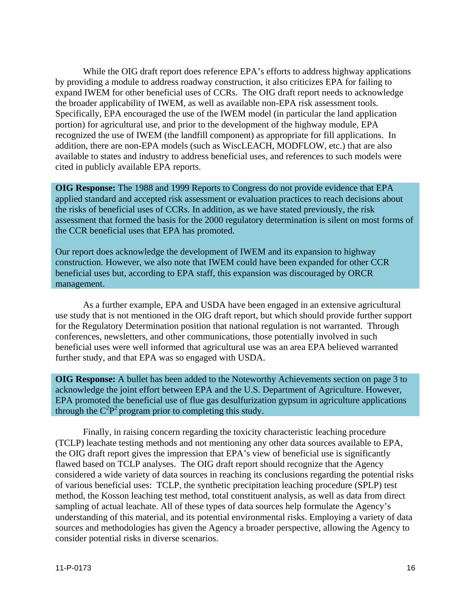While the OIG draft report does reference EPA's efforts to address highway applications by providing a module to address roadway construction, it also criticizes EPA for failing to expand IWEM for other beneficial uses of CCRs. The OIG draft report needs to acknowledge the broader applicability of IWEM, as well as available non-EPA risk assessment tools. Specifically, EPA encouraged the use of the IWEM model (in particular the land application portion) for agricultural use, and prior to the development of the highway module, EPA recognized the use of IWEM (the landfill component) as appropriate for fill applications. In addition, there are non-EPA models (such as WiscLEACH, MODFLOW, etc.) that are also available to states and industry to address beneficial uses, and references to such models were cited in publicly available EPA reports.

**OIG Response:** The 1988 and 1999 Reports to Congress do not provide evidence that EPA applied standard and accepted risk assessment or evaluation practices to reach decisions about the risks of beneficial uses of CCRs. In addition, as we have stated previously, the risk assessment that formed the basis for the 2000 regulatory determination is silent on most forms of the CCR beneficial uses that EPA has promoted.

Our report does acknowledge the development of IWEM and its expansion to highway construction. However, we also note that IWEM could have been expanded for other CCR beneficial uses but, according to EPA staff, this expansion was discouraged by ORCR management.

As a further example, EPA and USDA have been engaged in an extensive agricultural use study that is not mentioned in the OIG draft report, but which should provide further support for the Regulatory Determination position that national regulation is not warranted. Through conferences, newsletters, and other communications, those potentially involved in such beneficial uses were well informed that agricultural use was an area EPA believed warranted further study, and that EPA was so engaged with USDA.

**OIG Response:** A bullet has been added to the Noteworthy Achievements section on page 3 to acknowledge the joint effort between EPA and the U.S. Department of Agriculture. However, EPA promoted the beneficial use of flue gas desulfurization gypsum in agriculture applications through the  $C^2P^2$  program prior to completing this study.

Finally, in raising concern regarding the toxicity characteristic leaching procedure (TCLP) leachate testing methods and not mentioning any other data sources available to EPA, the OIG draft report gives the impression that EPA's view of beneficial use is significantly flawed based on TCLP analyses. The OIG draft report should recognize that the Agency considered a wide variety of data sources in reaching its conclusions regarding the potential risks of various beneficial uses: TCLP, the synthetic precipitation leaching procedure (SPLP) test method, the Kosson leaching test method, total constituent analysis, as well as data from direct sampling of actual leachate. All of these types of data sources help formulate the Agency's understanding of this material, and its potential environmental risks. Employing a variety of data sources and methodologies has given the Agency a broader perspective, allowing the Agency to consider potential risks in diverse scenarios.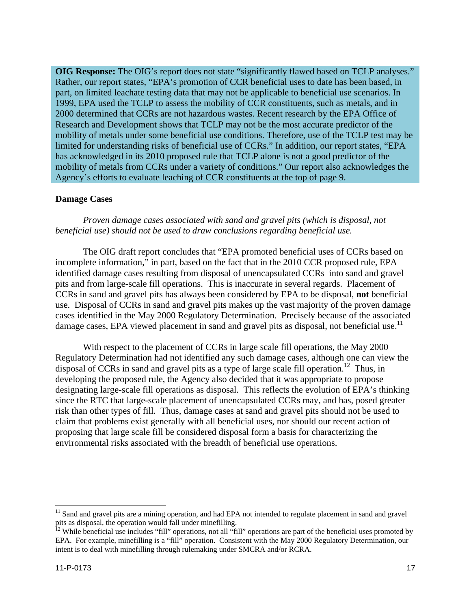**OIG Response:** The OIG's report does not state "significantly flawed based on TCLP analyses." Rather, our report states, "EPA's promotion of CCR beneficial uses to date has been based, in part, on limited leachate testing data that may not be applicable to beneficial use scenarios. In 1999, EPA used the TCLP to assess the mobility of CCR constituents, such as metals, and in 2000 determined that CCRs are not hazardous wastes. Recent research by the EPA Office of Research and Development shows that TCLP may not be the most accurate predictor of the mobility of metals under some beneficial use conditions. Therefore, use of the TCLP test may be limited for understanding risks of beneficial use of CCRs." In addition, our report states, "EPA has acknowledged in its 2010 proposed rule that TCLP alone is not a good predictor of the mobility of metals from CCRs under a variety of conditions." Our report also acknowledges the Agency's efforts to evaluate leaching of CCR constituents at the top of page 9.

#### **Damage Cases**

*Proven damage cases associated with sand and gravel pits (which is disposal, not beneficial use) should not be used to draw conclusions regarding beneficial use.* 

damage cases, EPA viewed placement in sand and gravel pits as disposal, not beneficial use.<sup>11</sup> The OIG draft report concludes that "EPA promoted beneficial uses of CCRs based on incomplete information," in part, based on the fact that in the 2010 CCR proposed rule, EPA identified damage cases resulting from disposal of unencapsulated CCRs into sand and gravel pits and from large-scale fill operations. This is inaccurate in several regards. Placement of CCRs in sand and gravel pits has always been considered by EPA to be disposal, **not** beneficial use. Disposal of CCRs in sand and gravel pits makes up the vast majority of the proven damage cases identified in the May 2000 Regulatory Determination. Precisely because of the associated

With respect to the placement of CCRs in large scale fill operations, the May 2000 Regulatory Determination had not identified any such damage cases, although one can view the disposal of CCRs in sand and gravel pits as a type of large scale fill operation.<sup>12</sup> Thus, in developing the proposed rule, the Agency also decided that it was appropriate to propose designating large-scale fill operations as disposal. This reflects the evolution of EPA's thinking since the RTC that large-scale placement of unencapsulated CCRs may, and has, posed greater risk than other types of fill. Thus, damage cases at sand and gravel pits should not be used to claim that problems exist generally with all beneficial uses, nor should our recent action of proposing that large scale fill be considered disposal form a basis for characterizing the environmental risks associated with the breadth of beneficial use operations.

 $11$  Sand and gravel pits are a mining operation, and had EPA not intended to regulate placement in sand and gravel pits as disposal, the operation would fall under minefilling.

<sup>&</sup>lt;sup>12</sup> While beneficial use includes "fill" operations, not all "fill" operations are part of the beneficial uses promoted by EPA. For example, minefilling is a "fill" operation. Consistent with the May 2000 Regulatory Determination, our intent is to deal with minefilling through rulemaking under SMCRA and/or RCRA.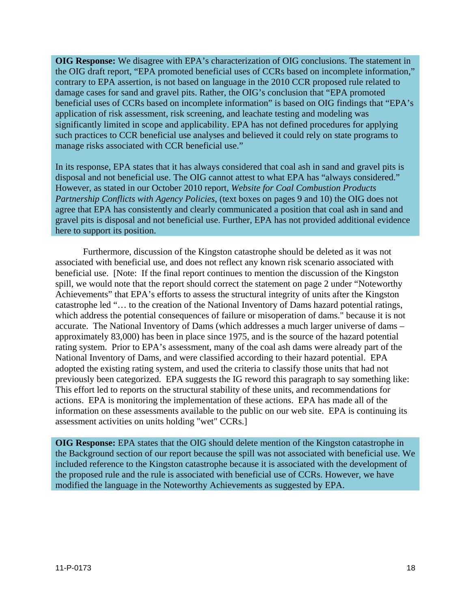**OIG Response:** We disagree with EPA's characterization of OIG conclusions. The statement in the OIG draft report, "EPA promoted beneficial uses of CCRs based on incomplete information," contrary to EPA assertion, is not based on language in the 2010 CCR proposed rule related to damage cases for sand and gravel pits. Rather, the OIG's conclusion that "EPA promoted beneficial uses of CCRs based on incomplete information" is based on OIG findings that "EPA's application of risk assessment, risk screening, and leachate testing and modeling was significantly limited in scope and applicability. EPA has not defined procedures for applying such practices to CCR beneficial use analyses and believed it could rely on state programs to manage risks associated with CCR beneficial use."

In its response, EPA states that it has always considered that coal ash in sand and gravel pits is disposal and not beneficial use. The OIG cannot attest to what EPA has "always considered." However, as stated in our October 2010 report, *Website for Coal Combustion Products Partnership Conflicts with Agency Policies*, (text boxes on pages 9 and 10) the OIG does not agree that EPA has consistently and clearly communicated a position that coal ash in sand and gravel pits is disposal and not beneficial use. Further, EPA has not provided additional evidence here to support its position.

Furthermore, discussion of the Kingston catastrophe should be deleted as it was not associated with beneficial use, and does not reflect any known risk scenario associated with beneficial use. [Note: If the final report continues to mention the discussion of the Kingston spill, we would note that the report should correct the statement on page 2 under "Noteworthy Achievements" that EPA's efforts to assess the structural integrity of units after the Kingston catastrophe led "… to the creation of the National Inventory of Dams hazard potential ratings, which address the potential consequences of failure or misoperation of dams." because it is not accurate. The National Inventory of Dams (which addresses a much larger universe of dams – approximately 83,000) has been in place since 1975, and is the source of the hazard potential rating system. Prior to EPA's assessment, many of the coal ash dams were already part of the National Inventory of Dams, and were classified according to their hazard potential. EPA adopted the existing rating system, and used the criteria to classify those units that had not previously been categorized. EPA suggests the IG reword this paragraph to say something like: This effort led to reports on the structural stability of these units, and recommendations for actions. EPA is monitoring the implementation of these actions. EPA has made all of the information on these assessments available to the public on our web site. EPA is continuing its assessment activities on units holding "wet" CCRs.]

**OIG Response:** EPA states that the OIG should delete mention of the Kingston catastrophe in the Background section of our report because the spill was not associated with beneficial use. We included reference to the Kingston catastrophe because it is associated with the development of the proposed rule and the rule is associated with beneficial use of CCRs. However, we have modified the language in the Noteworthy Achievements as suggested by EPA.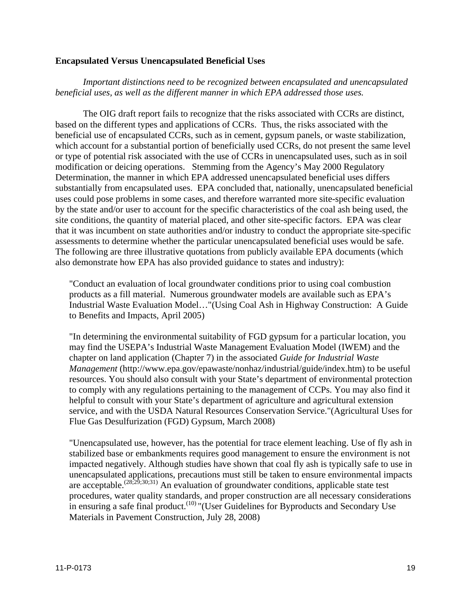#### **Encapsulated Versus Unencapsulated Beneficial Uses**

#### *Important distinctions need to be recognized between encapsulated and unencapsulated beneficial uses, as well as the different manner in which EPA addressed those uses.*

The OIG draft report fails to recognize that the risks associated with CCRs are distinct, based on the different types and applications of CCRs. Thus, the risks associated with the beneficial use of encapsulated CCRs, such as in cement, gypsum panels, or waste stabilization, which account for a substantial portion of beneficially used CCRs, do not present the same level or type of potential risk associated with the use of CCRs in unencapsulated uses, such as in soil modification or deicing operations. Stemming from the Agency's May 2000 Regulatory Determination, the manner in which EPA addressed unencapsulated beneficial uses differs substantially from encapsulated uses. EPA concluded that, nationally, unencapsulated beneficial uses could pose problems in some cases, and therefore warranted more site-specific evaluation by the state and/or user to account for the specific characteristics of the coal ash being used, the site conditions, the quantity of material placed, and other site-specific factors. EPA was clear that it was incumbent on state authorities and/or industry to conduct the appropriate site-specific assessments to determine whether the particular unencapsulated beneficial uses would be safe. The following are three illustrative quotations from publicly available EPA documents (which also demonstrate how EPA has also provided guidance to states and industry):

"Conduct an evaluation of local groundwater conditions prior to using coal combustion products as a fill material. Numerous groundwater models are available such as EPA's Industrial Waste Evaluation Model…"(Using Coal Ash in Highway Construction: A Guide to Benefits and Impacts, April 2005)

"In determining the environmental suitability of FGD gypsum for a particular location, you may find the USEPA's Industrial Waste Management Evaluation Model (IWEM) and the chapter on land application (Chapter 7) in the associated *Guide for Industrial Waste Management* (http://www.epa.gov/epawaste/nonhaz/industrial/guide/index.htm) to be useful resources. You should also consult with your State's department of environmental protection to comply with any regulations pertaining to the management of CCPs. You may also find it helpful to consult with your State's department of agriculture and agricultural extension service, and with the USDA Natural Resources Conservation Service."(Agricultural Uses for Flue Gas Desulfurization (FGD) Gypsum, March 2008)

"Unencapsulated use, however, has the potential for trace element leaching. Use of fly ash in stabilized base or embankments requires good management to ensure the environment is not impacted negatively. Although studies have shown that coal fly ash is typically safe to use in unencapsulated applications, precautions must still be taken to ensure environmental impacts are acceptable.<sup> $(28,29,30,31)$ </sup> An evaluation of groundwater conditions, applicable state test procedures, water quality standards, and proper construction are all necessary considerations in ensuring a safe final product.<sup>(10)</sup> "(User Guidelines for Byproducts and Secondary Use Materials in Pavement Construction, July 28, 2008)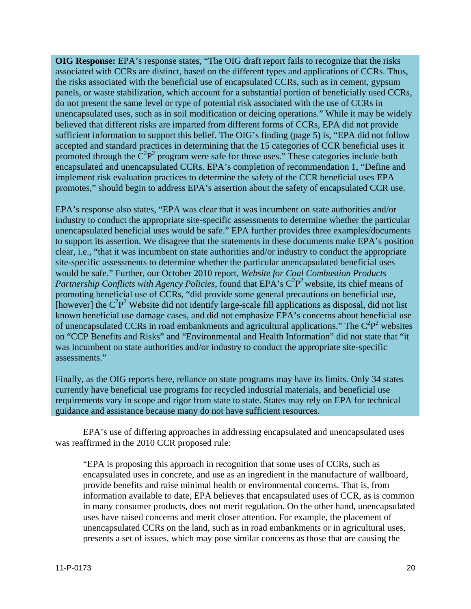**OIG Response:** EPA's response states, "The OIG draft report fails to recognize that the risks associated with CCRs are distinct, based on the different types and applications of CCRs. Thus, the risks associated with the beneficial use of encapsulated CCRs, such as in cement, gypsum panels, or waste stabilization, which account for a substantial portion of beneficially used CCRs, do not present the same level or type of potential risk associated with the use of CCRs in unencapsulated uses, such as in soil modification or deicing operations." While it may be widely believed that different risks are imparted from different forms of CCRs, EPA did not provide sufficient information to support this belief. The OIG's finding (page 5) is, "EPA did not follow accepted and standard practices in determining that the 15 categories of CCR beneficial uses it promoted through the  $\overline{C}^2P^2$  program were safe for those uses." These categories include both encapsulated and unencapsulated CCRs. EPA's completion of recommendation 1, "Define and implement risk evaluation practices to determine the safety of the CCR beneficial uses EPA promotes," should begin to address EPA's assertion about the safety of encapsulated CCR use.

EPA's response also states, "EPA was clear that it was incumbent on state authorities and/or industry to conduct the appropriate site-specific assessments to determine whether the particular unencapsulated beneficial uses would be safe." EPA further provides three examples/documents to support its assertion. We disagree that the statements in these documents make EPA's position clear, i.e., "that it was incumbent on state authorities and/or industry to conduct the appropriate site-specific assessments to determine whether the particular unencapsulated beneficial uses would be safe." Further, our October 2010 report, *Website for Coal Combustion Products*  Partnership Conflicts with Agency Policies, found that EPA's C<sup>2</sup>P<sup>2</sup> website, its chief means of promoting beneficial use of CCRs, "did provide some general precautions on beneficial use, [however] the  $C^2P^2$  Website did not identify large-scale fill applications as disposal, did not list known beneficial use damage cases, and did not emphasize EPA's concerns about beneficial use of unencapsulated CCRs in road embankments and agricultural applications." The  $C^2P^2$  websites on "CCP Benefits and Risks" and "Environmental and Health Information" did not state that "it was incumbent on state authorities and/or industry to conduct the appropriate site-specific assessments."

Finally, as the OIG reports here, reliance on state programs may have its limits. Only 34 states currently have beneficial use programs for recycled industrial materials, and beneficial use requirements vary in scope and rigor from state to state. States may rely on EPA for technical guidance and assistance because many do not have sufficient resources.

EPA's use of differing approaches in addressing encapsulated and unencapsulated uses was reaffirmed in the 2010 CCR proposed rule:

"EPA is proposing this approach in recognition that some uses of CCRs, such as encapsulated uses in concrete, and use as an ingredient in the manufacture of wallboard, provide benefits and raise minimal health or environmental concerns. That is, from information available to date, EPA believes that encapsulated uses of CCR, as is common in many consumer products, does not merit regulation. On the other hand, unencapsulated uses have raised concerns and merit closer attention. For example, the placement of unencapsulated CCRs on the land, such as in road embankments or in agricultural uses, presents a set of issues, which may pose similar concerns as those that are causing the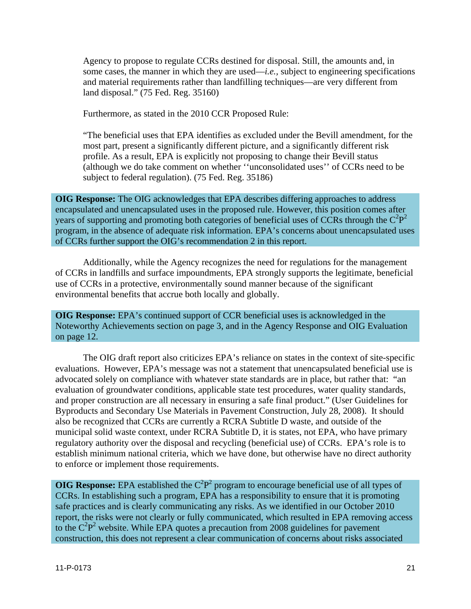Agency to propose to regulate CCRs destined for disposal. Still, the amounts and, in some cases, the manner in which they are used—*i.e.,* subject to engineering specifications and material requirements rather than landfilling techniques—are very different from land disposal." (75 Fed. Reg. 35160)

Furthermore, as stated in the 2010 CCR Proposed Rule:

"The beneficial uses that EPA identifies as excluded under the Bevill amendment, for the most part, present a significantly different picture, and a significantly different risk profile. As a result, EPA is explicitly not proposing to change their Bevill status (although we do take comment on whether ''unconsolidated uses'' of CCRs need to be subject to federal regulation). (75 Fed. Reg. 35186)

**OIG Response:** The OIG acknowledges that EPA describes differing approaches to address encapsulated and unencapsulated uses in the proposed rule. However, this position comes after years of supporting and promoting both categories of beneficial uses of CCRs through the  $C^2P^2$ program, in the absence of adequate risk information. EPA's concerns about unencapsulated uses of CCRs further support the OIG's recommendation 2 in this report.

Additionally, while the Agency recognizes the need for regulations for the management of CCRs in landfills and surface impoundments, EPA strongly supports the legitimate, beneficial use of CCRs in a protective, environmentally sound manner because of the significant environmental benefits that accrue both locally and globally.

**OIG Response:** EPA's continued support of CCR beneficial uses is acknowledged in the Noteworthy Achievements section on page 3, and in the Agency Response and OIG Evaluation on page 12.

The OIG draft report also criticizes EPA's reliance on states in the context of site-specific evaluations. However, EPA's message was not a statement that unencapsulated beneficial use is advocated solely on compliance with whatever state standards are in place, but rather that: "an evaluation of groundwater conditions, applicable state test procedures, water quality standards, and proper construction are all necessary in ensuring a safe final product." (User Guidelines for Byproducts and Secondary Use Materials in Pavement Construction, July 28, 2008). It should also be recognized that CCRs are currently a RCRA Subtitle D waste, and outside of the municipal solid waste context, under RCRA Subtitle D, it is states, not EPA, who have primary regulatory authority over the disposal and recycling (beneficial use) of CCRs. EPA's role is to establish minimum national criteria, which we have done, but otherwise have no direct authority to enforce or implement those requirements.

**OIG Response:** EPA established the  $C^2P^2$  program to encourage beneficial use of all types of CCRs. In establishing such a program, EPA has a responsibility to ensure that it is promoting safe practices and is clearly communicating any risks. As we identified in our October 2010 report, the risks were not clearly or fully communicated, which resulted in EPA removing access to the  $C^2P^2$  website. While EPA quotes a precaution from 2008 guidelines for pavement construction, this does not represent a clear communication of concerns about risks associated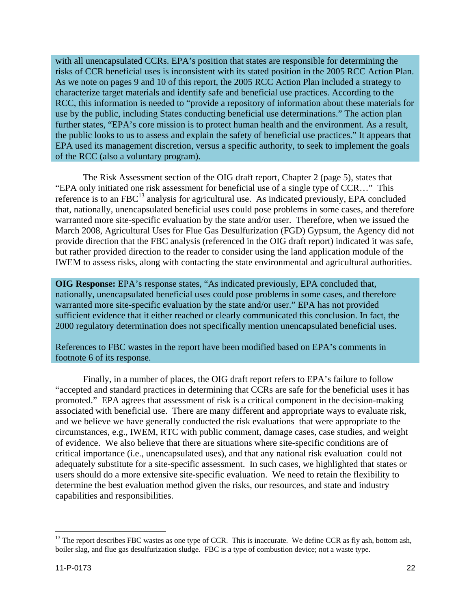with all unencapsulated CCRs. EPA's position that states are responsible for determining the risks of CCR beneficial uses is inconsistent with its stated position in the 2005 RCC Action Plan. As we note on pages 9 and 10 of this report, the 2005 RCC Action Plan included a strategy to characterize target materials and identify safe and beneficial use practices. According to the RCC, this information is needed to "provide a repository of information about these materials for use by the public, including States conducting beneficial use determinations." The action plan further states, "EPA's core mission is to protect human health and the environment. As a result, the public looks to us to assess and explain the safety of beneficial use practices." It appears that EPA used its management discretion, versus a specific authority, to seek to implement the goals of the RCC (also a voluntary program).

The Risk Assessment section of the OIG draft report, Chapter 2 (page 5), states that "EPA only initiated one risk assessment for beneficial use of a single type of CCR…" This reference is to an  $FBC^{13}$  analysis for agricultural use. As indicated previously, EPA concluded that, nationally, unencapsulated beneficial uses could pose problems in some cases, and therefore warranted more site-specific evaluation by the state and/or user. Therefore, when we issued the March 2008, Agricultural Uses for Flue Gas Desulfurization (FGD) Gypsum, the Agency did not provide direction that the FBC analysis (referenced in the OIG draft report) indicated it was safe, but rather provided direction to the reader to consider using the land application module of the IWEM to assess risks, along with contacting the state environmental and agricultural authorities.

**OIG Response:** EPA's response states, "As indicated previously, EPA concluded that, nationally, unencapsulated beneficial uses could pose problems in some cases, and therefore warranted more site-specific evaluation by the state and/or user." EPA has not provided sufficient evidence that it either reached or clearly communicated this conclusion. In fact, the 2000 regulatory determination does not specifically mention unencapsulated beneficial uses.

References to FBC wastes in the report have been modified based on EPA's comments in footnote 6 of its response.

Finally, in a number of places, the OIG draft report refers to EPA's failure to follow "accepted and standard practices in determining that CCRs are safe for the beneficial uses it has promoted." EPA agrees that assessment of risk is a critical component in the decision-making associated with beneficial use. There are many different and appropriate ways to evaluate risk, and we believe we have generally conducted the risk evaluations that were appropriate to the circumstances, e.g., IWEM, RTC with public comment, damage cases, case studies, and weight of evidence. We also believe that there are situations where site-specific conditions are of critical importance (i.e., unencapsulated uses), and that any national risk evaluation could not adequately substitute for a site-specific assessment. In such cases, we highlighted that states or users should do a more extensive site-specific evaluation. We need to retain the flexibility to determine the best evaluation method given the risks, our resources, and state and industry capabilities and responsibilities.

 $13$  The report describes FBC wastes as one type of CCR. This is inaccurate. We define CCR as fly ash, bottom ash, boiler slag, and flue gas desulfurization sludge. FBC is a type of combustion device; not a waste type.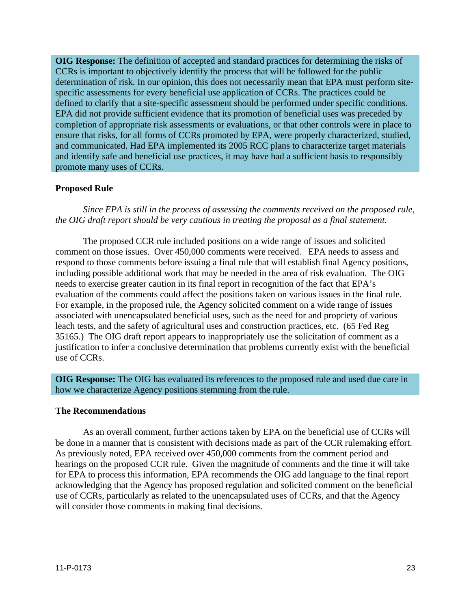**OIG Response:** The definition of accepted and standard practices for determining the risks of CCRs is important to objectively identify the process that will be followed for the public determination of risk. In our opinion, this does not necessarily mean that EPA must perform sitespecific assessments for every beneficial use application of CCRs. The practices could be defined to clarify that a site-specific assessment should be performed under specific conditions. EPA did not provide sufficient evidence that its promotion of beneficial uses was preceded by completion of appropriate risk assessments or evaluations, or that other controls were in place to ensure that risks, for all forms of CCRs promoted by EPA, were properly characterized, studied, and communicated. Had EPA implemented its 2005 RCC plans to characterize target materials and identify safe and beneficial use practices, it may have had a sufficient basis to responsibly promote many uses of CCRs.

#### **Proposed Rule**

*Since EPA is still in the process of assessing the comments received on the proposed rule, the OIG draft report should be very cautious in treating the proposal as a final statement.* 

The proposed CCR rule included positions on a wide range of issues and solicited comment on those issues. Over 450,000 comments were received. EPA needs to assess and respond to those comments before issuing a final rule that will establish final Agency positions, including possible additional work that may be needed in the area of risk evaluation. The OIG needs to exercise greater caution in its final report in recognition of the fact that EPA's evaluation of the comments could affect the positions taken on various issues in the final rule. For example, in the proposed rule, the Agency solicited comment on a wide range of issues associated with unencapsulated beneficial uses, such as the need for and propriety of various leach tests, and the safety of agricultural uses and construction practices, etc. (65 Fed Reg 35165.) The OIG draft report appears to inappropriately use the solicitation of comment as a justification to infer a conclusive determination that problems currently exist with the beneficial use of CCRs.

**OIG Response:** The OIG has evaluated its references to the proposed rule and used due care in how we characterize Agency positions stemming from the rule.

#### **The Recommendations**

As an overall comment, further actions taken by EPA on the beneficial use of CCRs will be done in a manner that is consistent with decisions made as part of the CCR rulemaking effort. As previously noted, EPA received over 450,000 comments from the comment period and hearings on the proposed CCR rule. Given the magnitude of comments and the time it will take for EPA to process this information, EPA recommends the OIG add language to the final report acknowledging that the Agency has proposed regulation and solicited comment on the beneficial use of CCRs, particularly as related to the unencapsulated uses of CCRs, and that the Agency will consider those comments in making final decisions.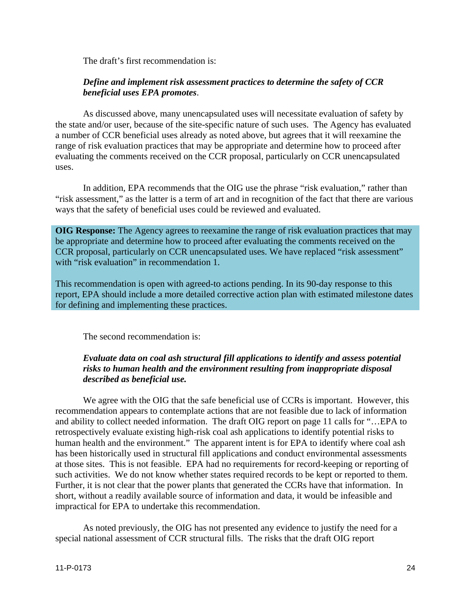The draft's first recommendation is:

#### *Define and implement risk assessment practices to determine the safety of CCR beneficial uses EPA promotes*.

As discussed above, many unencapsulated uses will necessitate evaluation of safety by the state and/or user, because of the site-specific nature of such uses. The Agency has evaluated a number of CCR beneficial uses already as noted above, but agrees that it will reexamine the range of risk evaluation practices that may be appropriate and determine how to proceed after evaluating the comments received on the CCR proposal, particularly on CCR unencapsulated uses.

In addition, EPA recommends that the OIG use the phrase "risk evaluation," rather than "risk assessment," as the latter is a term of art and in recognition of the fact that there are various ways that the safety of beneficial uses could be reviewed and evaluated.

**OIG Response:** The Agency agrees to reexamine the range of risk evaluation practices that may be appropriate and determine how to proceed after evaluating the comments received on the CCR proposal, particularly on CCR unencapsulated uses. We have replaced "risk assessment" with "risk evaluation" in recommendation 1.

This recommendation is open with agreed-to actions pending. In its 90-day response to this report, EPA should include a more detailed corrective action plan with estimated milestone dates for defining and implementing these practices.

The second recommendation is:

#### *Evaluate data on coal ash structural fill applications to identify and assess potential risks to human health and the environment resulting from inappropriate disposal described as beneficial use.*

We agree with the OIG that the safe beneficial use of CCRs is important. However, this recommendation appears to contemplate actions that are not feasible due to lack of information and ability to collect needed information. The draft OIG report on page 11 calls for "…EPA to retrospectively evaluate existing high-risk coal ash applications to identify potential risks to human health and the environment." The apparent intent is for EPA to identify where coal ash has been historically used in structural fill applications and conduct environmental assessments at those sites. This is not feasible. EPA had no requirements for record-keeping or reporting of such activities. We do not know whether states required records to be kept or reported to them. Further, it is not clear that the power plants that generated the CCRs have that information. In short, without a readily available source of information and data, it would be infeasible and impractical for EPA to undertake this recommendation.

As noted previously, the OIG has not presented any evidence to justify the need for a special national assessment of CCR structural fills. The risks that the draft OIG report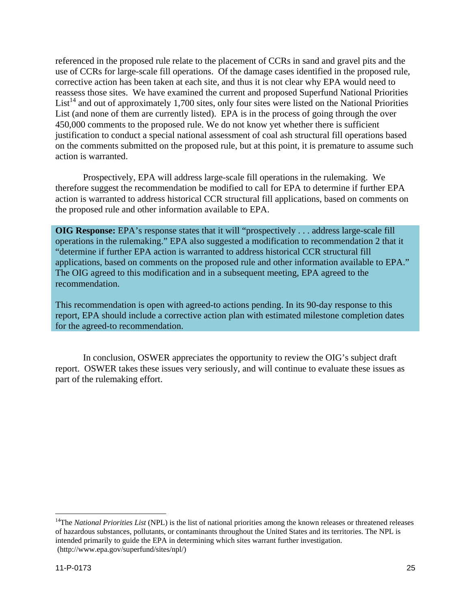referenced in the proposed rule relate to the placement of CCRs in sand and gravel pits and the use of CCRs for large-scale fill operations. Of the damage cases identified in the proposed rule, corrective action has been taken at each site, and thus it is not clear why EPA would need to reassess those sites. We have examined the current and proposed Superfund National Priorities  $List<sup>14</sup>$  and out of approximately 1,700 sites, only four sites were listed on the National Priorities List (and none of them are currently listed). EPA is in the process of going through the over 450,000 comments to the proposed rule. We do not know yet whether there is sufficient justification to conduct a special national assessment of coal ash structural fill operations based on the comments submitted on the proposed rule, but at this point, it is premature to assume such action is warranted.

Prospectively, EPA will address large-scale fill operations in the rulemaking. We therefore suggest the recommendation be modified to call for EPA to determine if further EPA action is warranted to address historical CCR structural fill applications, based on comments on the proposed rule and other information available to EPA.

**OIG Response:** EPA's response states that it will "prospectively . . . address large-scale fill operations in the rulemaking." EPA also suggested a modification to recommendation 2 that it "determine if further EPA action is warranted to address historical CCR structural fill applications, based on comments on the proposed rule and other information available to EPA." The OIG agreed to this modification and in a subsequent meeting, EPA agreed to the recommendation.

This recommendation is open with agreed-to actions pending. In its 90-day response to this report, EPA should include a corrective action plan with estimated milestone completion dates for the agreed-to recommendation.

In conclusion, OSWER appreciates the opportunity to review the OIG's subject draft report. OSWER takes these issues very seriously, and will continue to evaluate these issues as part of the rulemaking effort.

<sup>&</sup>lt;sup>14</sup>The *National Priorities List* (NPL) is the list of national priorities among the known releases or threatened releases of hazardous substances, pollutants, or contaminants throughout the United States and its territories. The NPL is intended primarily to guide the EPA in determining which sites warrant further investigation. (http://www.epa.gov/superfund/sites/npl/)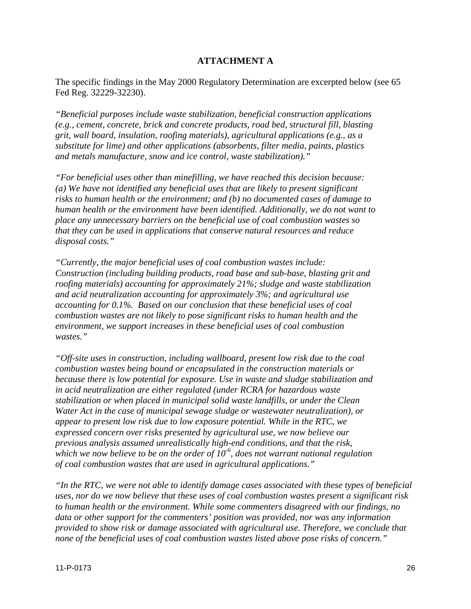#### **ATTACHMENT A**

The specific findings in the May 2000 Regulatory Determination are excerpted below (see 65 Fed Reg. 32229-32230).

*"Beneficial purposes include waste stabilization, beneficial construction applications (e.g., cement, concrete, brick and concrete products, road bed, structural fill, blasting grit, wall board, insulation, roofing materials), agricultural applications (e.g., as a substitute for lime) and other applications (absorbents, filter media, paints, plastics and metals manufacture, snow and ice control, waste stabilization)."* 

*"For beneficial uses other than minefilling, we have reached this decision because: (a) We have not identified any beneficial uses that are likely to present significant risks to human health or the environment; and (b) no documented cases of damage to human health or the environment have been identified. Additionally, we do not want to place any unnecessary barriers on the beneficial use of coal combustion wastes so that they can be used in applications that conserve natural resources and reduce disposal costs."* 

*"Currently, the major beneficial uses of coal combustion wastes include: Construction (including building products, road base and sub-base, blasting grit and roofing materials) accounting for approximately 21%; sludge and waste stabilization and acid neutralization accounting for approximately 3%; and agricultural use accounting for 0.1%. Based on our conclusion that these beneficial uses of coal combustion wastes are not likely to pose significant risks to human health and the environment, we support increases in these beneficial uses of coal combustion wastes."* 

*"Off-site uses in construction, including wallboard, present low risk due to the coal combustion wastes being bound or encapsulated in the construction materials or because there is low potential for exposure. Use in waste and sludge stabilization and in acid neutralization are either regulated (under RCRA for hazardous waste stabilization or when placed in municipal solid waste landfills, or under the Clean Water Act in the case of municipal sewage sludge or wastewater neutralization), or appear to present low risk due to low exposure potential. While in the RTC, we expressed concern over risks presented by agricultural use, we now believe our previous analysis assumed unrealistically high-end conditions, and that the risk, which we now believe to be on the order of 10-6, does not warrant national regulation of coal combustion wastes that are used in agricultural applications."* 

*"In the RTC, we were not able to identify damage cases associated with these types of beneficial uses, nor do we now believe that these uses of coal combustion wastes present a significant risk to human health or the environment. While some commenters disagreed with our findings, no data or other support for the commenters' position was provided, nor was any information provided to show risk or damage associated with agricultural use. Therefore, we conclude that none of the beneficial uses of coal combustion wastes listed above pose risks of concern."*